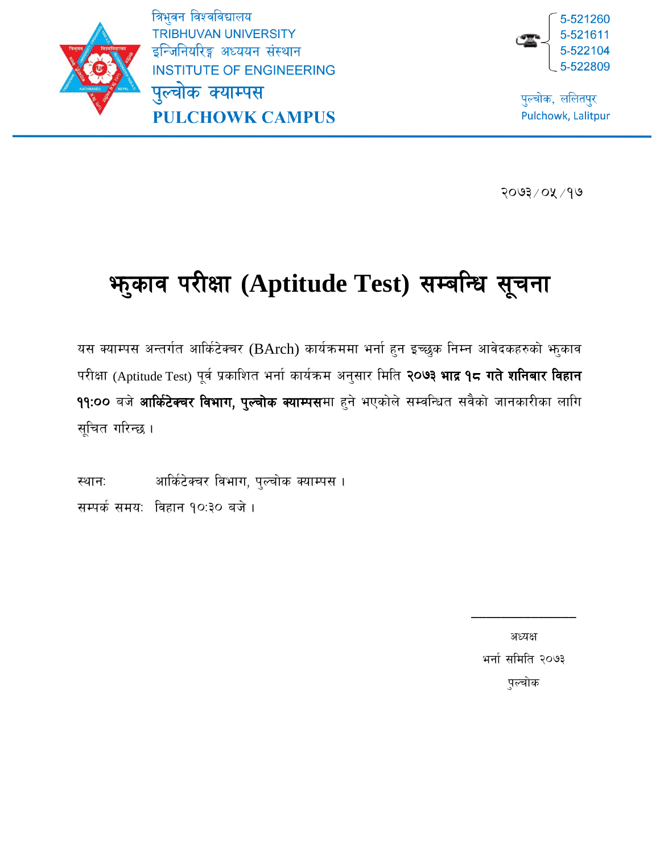5-521260

पुल्चोक, ललितपुर Pulchowk, Lalitpur

त्रिभुवन विश्वविद्यालय **TRIBHUVAN UNIVERSITY** इन्जिनियरिङ्ग अध्ययन संस्थान **INSTITUTE OF ENGINEERING** पुल्चोक क्याम्पस **PULCHOWK CAMPUS** 



 $2003/08/90$ 

# **भाुकाव परीक्षा (Aptitude Test) सम्बन्धि सूचना**

यस क्याम्पस अन्तर्गत आर्किटेक्चर (BArch) कार्यक्रममा भर्ना हुन इच्छुक निम्न आवेदकहरुको भूकाव परीक्षा (Aptitude Test) पूर्व प्रकाशित भर्ना कार्यक्रम अनुसार मिति **२०७३ भाद्र १८ गते शनिबार विहान** 99:00 बजे आर्किटेक्चर विभाग, पुल्चोक क्याम्पसमा हुने भएकोले सम्वन्धित सवैको जानकारीका लागि सूचित गरिन्छ ।

स्थान: आर्किटेक्चर विभाग, पुल्चोक क्याम्पस । सम्पर्क समय: विहान १०:३० बजे।

> अध्यक्ष भर्ना समिति २०७३ पुल्चोक

\_\_\_\_\_\_\_\_\_\_\_\_\_\_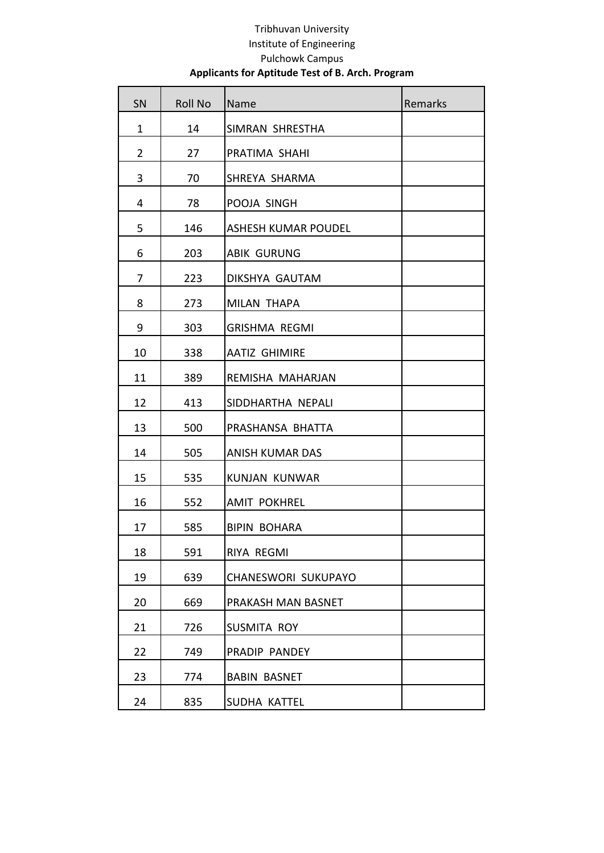| SN             | <b>Roll No</b> | Name                       | Remarks |
|----------------|----------------|----------------------------|---------|
| $\mathbf{1}$   | 14             | SIMRAN SHRESTHA            |         |
| $\overline{2}$ | 27             | PRATIMA SHAHI              |         |
| 3              | 70             | SHREYA SHARMA              |         |
| 4              | 78             | POOJA SINGH                |         |
| 5              | 146            | <b>ASHESH KUMAR POUDEL</b> |         |
| 6              | 203            | <b>ABIK GURUNG</b>         |         |
| 7              | 223            | DIKSHYA GAUTAM             |         |
| 8              | 273            | <b>MILAN THAPA</b>         |         |
| 9              | 303            | <b>GRISHMA REGMI</b>       |         |
| 10             | 338            | <b>AATIZ GHIMIRE</b>       |         |
| 11             | 389            | REMISHA MAHARJAN           |         |
| 12             | 413            | SIDDHARTHA NEPALI          |         |
| 13             | 500            | PRASHANSA BHATTA           |         |
| 14             | 505            | <b>ANISH KUMAR DAS</b>     |         |
| 15             | 535            | <b>KUNJAN KUNWAR</b>       |         |
| 16             | 552            | <b>AMIT POKHREL</b>        |         |
| 17             | 585            | <b>BIPIN BOHARA</b>        |         |
| 18             | 591            | RIYA REGMI                 |         |
| 19             | 639            | CHANESWORI SUKUPAYO        |         |
| 20             | 669            | PRAKASH MAN BASNET         |         |
| 21             | 726            | SUSMITA ROY                |         |
| 22             | 749            | PRADIP PANDEY              |         |
| 23             | 774            | <b>BABIN BASNET</b>        |         |
| 24             | 835            | SUDHA KATTEL               |         |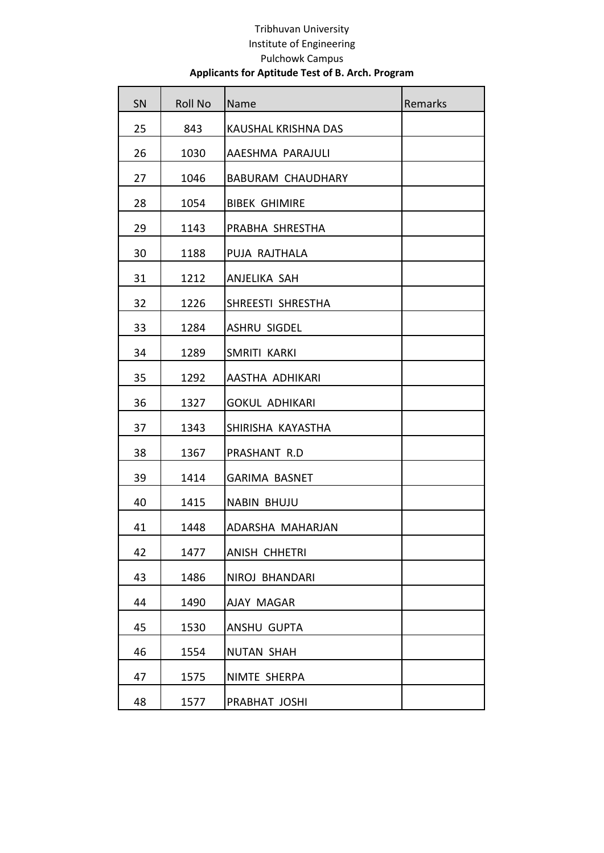| SN | <b>Roll No</b> | Name                       | Remarks |
|----|----------------|----------------------------|---------|
| 25 | 843            | <b>KAUSHAL KRISHNA DAS</b> |         |
| 26 | 1030           | AAESHMA PARAJULI           |         |
| 27 | 1046           | <b>BABURAM CHAUDHARY</b>   |         |
| 28 | 1054           | <b>BIBEK GHIMIRE</b>       |         |
| 29 | 1143           | PRABHA SHRESTHA            |         |
| 30 | 1188           | PUJA RAJTHALA              |         |
| 31 | 1212           | ANJELIKA SAH               |         |
| 32 | 1226           | SHREESTI SHRESTHA          |         |
| 33 | 1284           | <b>ASHRU SIGDEL</b>        |         |
| 34 | 1289           | SMRITI KARKI               |         |
| 35 | 1292           | AASTHA ADHIKARI            |         |
| 36 | 1327           | <b>GOKUL ADHIKARI</b>      |         |
| 37 | 1343           | SHIRISHA KAYASTHA          |         |
| 38 | 1367           | PRASHANT R.D               |         |
| 39 | 1414           | <b>GARIMA BASNET</b>       |         |
| 40 | 1415           | <b>NABIN BHUJU</b>         |         |
| 41 | 1448           | ADARSHA MAHARJAN           |         |
| 42 | 1477           | <b>ANISH CHHETRI</b>       |         |
| 43 | 1486           | NIROJ BHANDARI             |         |
| 44 | 1490           | AJAY MAGAR                 |         |
| 45 | 1530           | ANSHU GUPTA                |         |
| 46 | 1554           | <b>NUTAN SHAH</b>          |         |
| 47 | 1575           | NIMTE SHERPA               |         |
| 48 | 1577           | PRABHAT JOSHI              |         |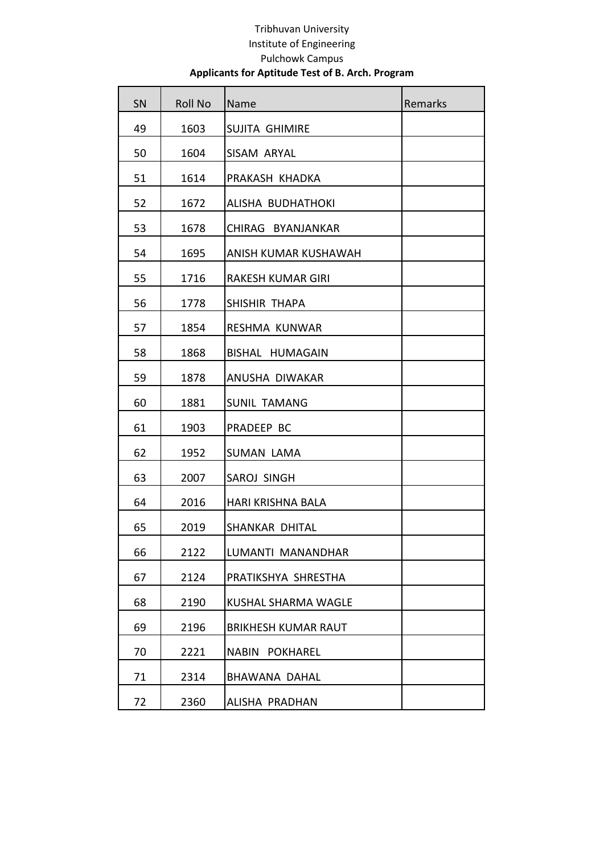| SN | <b>Roll No</b> | Name                            | Remarks |
|----|----------------|---------------------------------|---------|
| 49 | 1603           | <b>SUJITA GHIMIRE</b>           |         |
| 50 | 1604           | SISAM ARYAL                     |         |
| 51 | 1614           | PRAKASH KHADKA                  |         |
| 52 | 1672           | ALISHA BUDHATHOKI               |         |
| 53 | 1678           | CHIRAG BYANJANKAR               |         |
| 54 | 1695           | <b>ANISH KUMAR KUSHAWAH</b>     |         |
| 55 | 1716           | RAKESH KUMAR GIRI               |         |
| 56 | 1778           | SHISHIR THAPA                   |         |
| 57 | 1854           | <b>RESHMA KUNWAR</b>            |         |
| 58 | 1868           | BISHAL HUMAGAIN                 |         |
| 59 | 1878           | ANUSHA DIWAKAR                  |         |
| 60 | 1881           | <b>SUNIL TAMANG</b>             |         |
| 61 | 1903           | PRADEEP BC                      |         |
| 62 | 1952           | <b>SUMAN LAMA</b>               |         |
| 63 | 2007           | SAROJ SINGH                     |         |
| 64 | 2016           | HARI KRISHNA BALA               |         |
| 65 | 2019           | SHANKAR DHITAL                  |         |
| 66 | 2122           | LUMANTI MANANDHAR               |         |
| 67 | 2124           | PRATIKSHYA SHRESTHA             |         |
| 68 | 2190           | KUSHAL SHARMA WAGLE             |         |
| 69 | 2196           | <b>BRIKHESH KUMAR RAUT</b>      |         |
| 70 | 2221           | <b>NABIN</b><br><b>POKHAREL</b> |         |
| 71 | 2314           | <b>BHAWANA DAHAL</b>            |         |
| 72 | 2360           | ALISHA PRADHAN                  |         |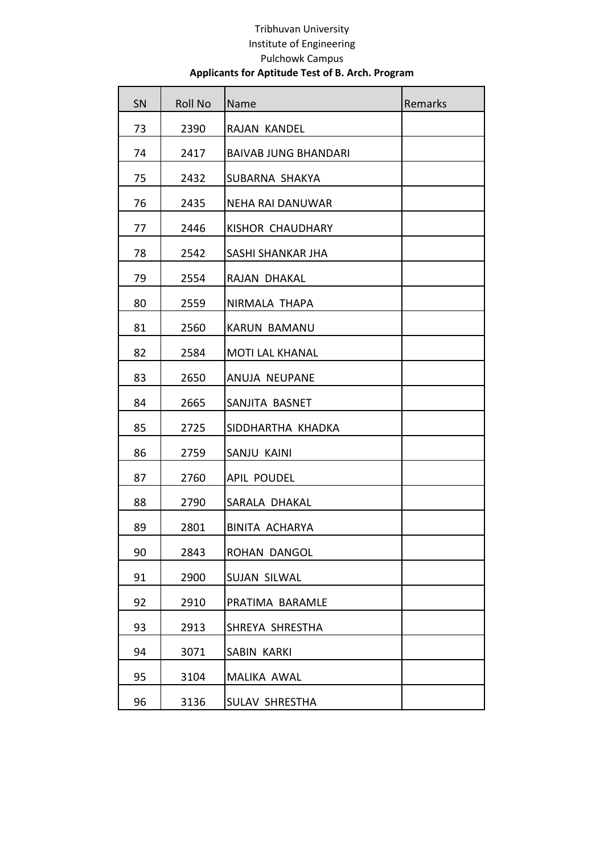| SN | <b>Roll No</b> | Name                        | Remarks |
|----|----------------|-----------------------------|---------|
| 73 | 2390           | RAJAN KANDEL                |         |
| 74 | 2417           | <b>BAIVAB JUNG BHANDARI</b> |         |
| 75 | 2432           | SUBARNA SHAKYA              |         |
| 76 | 2435           | <b>NEHA RAI DANUWAR</b>     |         |
| 77 | 2446           | KISHOR CHAUDHARY            |         |
| 78 | 2542           | SASHI SHANKAR JHA           |         |
| 79 | 2554           | RAJAN DHAKAL                |         |
| 80 | 2559           | NIRMALA THAPA               |         |
| 81 | 2560           | <b>KARUN BAMANU</b>         |         |
| 82 | 2584           | <b>MOTI LAL KHANAL</b>      |         |
| 83 | 2650           | <b>ANUJA NEUPANE</b>        |         |
| 84 | 2665           | SANJITA BASNET              |         |
| 85 | 2725           | SIDDHARTHA KHADKA           |         |
| 86 | 2759           | SANJU KAINI                 |         |
| 87 | 2760           | <b>APIL POUDEL</b>          |         |
| 88 | 2790           | SARALA DHAKAL               |         |
| 89 | 2801           | <b>BINITA ACHARYA</b>       |         |
| 90 | 2843           | ROHAN DANGOL                |         |
| 91 | 2900           | <b>SUJAN SILWAL</b>         |         |
| 92 | 2910           | PRATIMA BARAMLE             |         |
| 93 | 2913           | SHREYA SHRESTHA             |         |
| 94 | 3071           | <b>SABIN KARKI</b>          |         |
| 95 | 3104           | <b>MALIKA AWAL</b>          |         |
| 96 | 3136           | SULAV SHRESTHA              |         |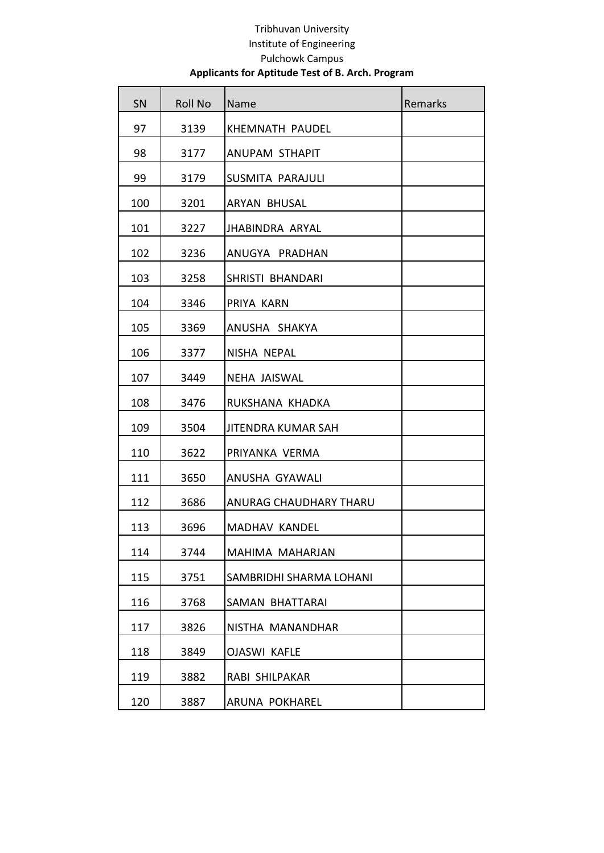| SN  | <b>Roll No</b> | Name                          | Remarks |
|-----|----------------|-------------------------------|---------|
| 97  | 3139           | KHEMNATH PAUDEL               |         |
| 98  | 3177           | <b>ANUPAM STHAPIT</b>         |         |
| 99  | 3179           | <b>SUSMITA PARAJULI</b>       |         |
| 100 | 3201           | ARYAN BHUSAL                  |         |
| 101 | 3227           | JHABINDRA ARYAL               |         |
| 102 | 3236           | ANUGYA PRADHAN                |         |
| 103 | 3258           | SHRISTI BHANDARI              |         |
| 104 | 3346           | PRIYA KARN                    |         |
| 105 | 3369           | ANUSHA SHAKYA                 |         |
| 106 | 3377           | NISHA NEPAL                   |         |
| 107 | 3449           | <b>NEHA JAISWAL</b>           |         |
| 108 | 3476           | RUKSHANA KHADKA               |         |
| 109 | 3504           | <b>JITENDRA KUMAR SAH</b>     |         |
| 110 | 3622           | PRIYANKA VERMA                |         |
| 111 | 3650           | <b>ANUSHA GYAWALI</b>         |         |
| 112 | 3686           | <b>ANURAG CHAUDHARY THARU</b> |         |
| 113 | 3696           | <b>MADHAV KANDEL</b>          |         |
| 114 | 3744           | MAHIMA MAHARJAN               |         |
| 115 | 3751           | SAMBRIDHI SHARMA LOHANI       |         |
| 116 | 3768           | SAMAN BHATTARAI               |         |
| 117 | 3826           | NISTHA MANANDHAR              |         |
| 118 | 3849           | <b>OJASWI KAFLE</b>           |         |
| 119 | 3882           | RABI SHILPAKAR                |         |
| 120 | 3887           | <b>ARUNA POKHAREL</b>         |         |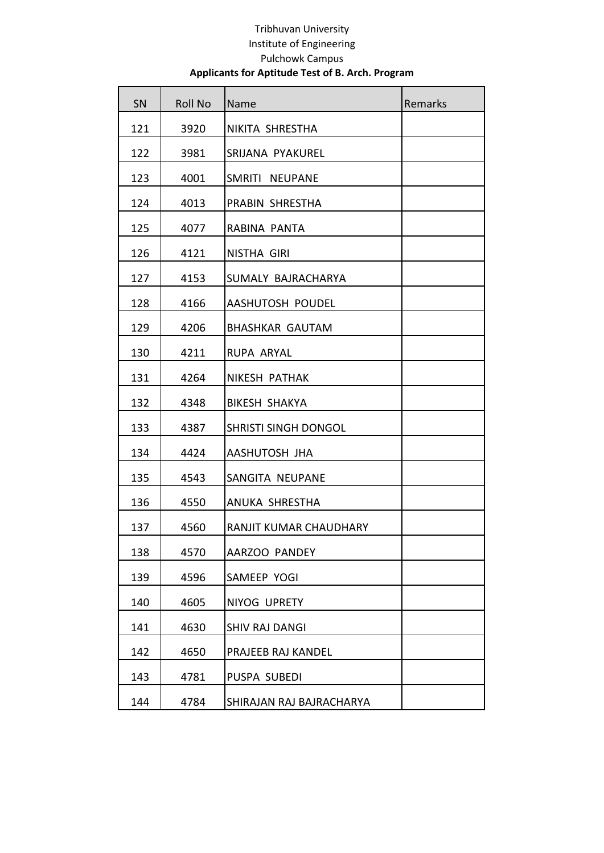| <b>SN</b> | <b>Roll No</b> | Name                     | Remarks |
|-----------|----------------|--------------------------|---------|
| 121       | 3920           | NIKITA SHRESTHA          |         |
| 122       | 3981           | SRIJANA PYAKUREL         |         |
| 123       | 4001           | SMRITI NEUPANE           |         |
| 124       | 4013           | PRABIN SHRESTHA          |         |
| 125       | 4077           | RABINA PANTA             |         |
| 126       | 4121           | NISTHA GIRI              |         |
| 127       | 4153           | SUMALY BAJRACHARYA       |         |
| 128       | 4166           | AASHUTOSH POUDEL         |         |
| 129       | 4206           | <b>BHASHKAR GAUTAM</b>   |         |
| 130       | 4211           | RUPA ARYAL               |         |
| 131       | 4264           | <b>NIKESH PATHAK</b>     |         |
| 132       | 4348           | <b>BIKESH SHAKYA</b>     |         |
| 133       | 4387           | SHRISTI SINGH DONGOL     |         |
| 134       | 4424           | <b>AASHUTOSH JHA</b>     |         |
| 135       | 4543           | SANGITA NEUPANE          |         |
| 136       | 4550           | ANUKA SHRESTHA           |         |
| 137       | 4560           | RANJIT KUMAR CHAUDHARY   |         |
| 138       | 4570           | AARZOO PANDEY            |         |
| 139       | 4596           | SAMEEP YOGI              |         |
| 140       | 4605           | NIYOG UPRETY             |         |
| 141       | 4630           | <b>SHIV RAJ DANGI</b>    |         |
| 142       | 4650           | PRAJEEB RAJ KANDEL       |         |
| 143       | 4781           | PUSPA SUBEDI             |         |
| 144       | 4784           | SHIRAJAN RAJ BAJRACHARYA |         |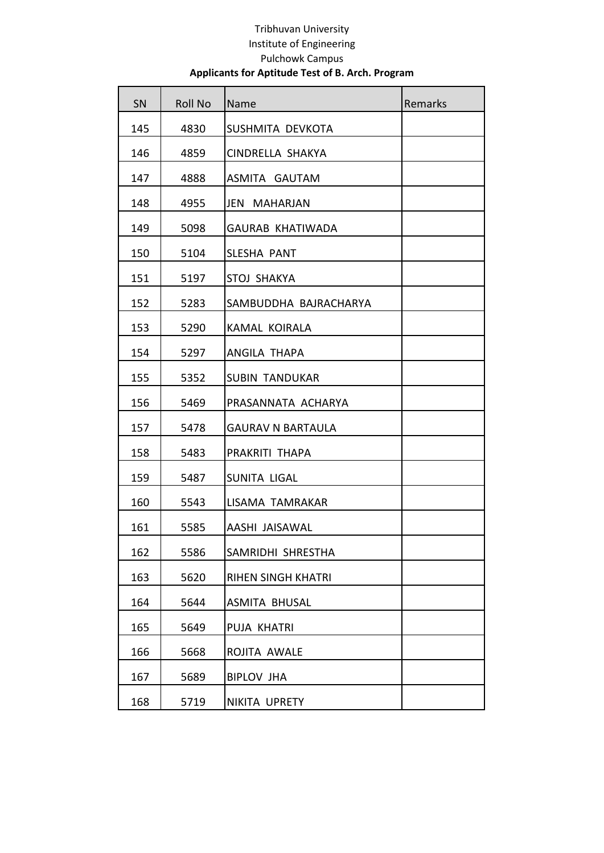| SN  | <b>Roll No</b> | Name                      | Remarks |
|-----|----------------|---------------------------|---------|
| 145 | 4830           | SUSHMITA DEVKOTA          |         |
| 146 | 4859           | CINDRELLA SHAKYA          |         |
| 147 | 4888           | ASMITA GAUTAM             |         |
| 148 | 4955           | JEN<br><b>MAHARJAN</b>    |         |
| 149 | 5098           | <b>GAURAB KHATIWADA</b>   |         |
| 150 | 5104           | <b>SLESHA PANT</b>        |         |
| 151 | 5197           | STOJ SHAKYA               |         |
| 152 | 5283           | SAMBUDDHA BAJRACHARYA     |         |
| 153 | 5290           | KAMAL KOIRALA             |         |
| 154 | 5297           | ANGILA THAPA              |         |
| 155 | 5352           | <b>SUBIN TANDUKAR</b>     |         |
| 156 | 5469           | PRASANNATA ACHARYA        |         |
| 157 | 5478           | <b>GAURAV N BARTAULA</b>  |         |
| 158 | 5483           | PRAKRITI THAPA            |         |
| 159 | 5487           | SUNITA LIGAL              |         |
| 160 | 5543           | LISAMA TAMRAKAR           |         |
| 161 | 5585           | AASHI JAISAWAL            |         |
| 162 | 5586           | SAMRIDHI SHRESTHA         |         |
| 163 | 5620           | <b>RIHEN SINGH KHATRI</b> |         |
| 164 | 5644           | ASMITA BHUSAL             |         |
| 165 | 5649           | <b>PUJA KHATRI</b>        |         |
| 166 | 5668           | ROJITA AWALE              |         |
| 167 | 5689           | <b>BIPLOV JHA</b>         |         |
| 168 | 5719           | NIKITA UPRETY             |         |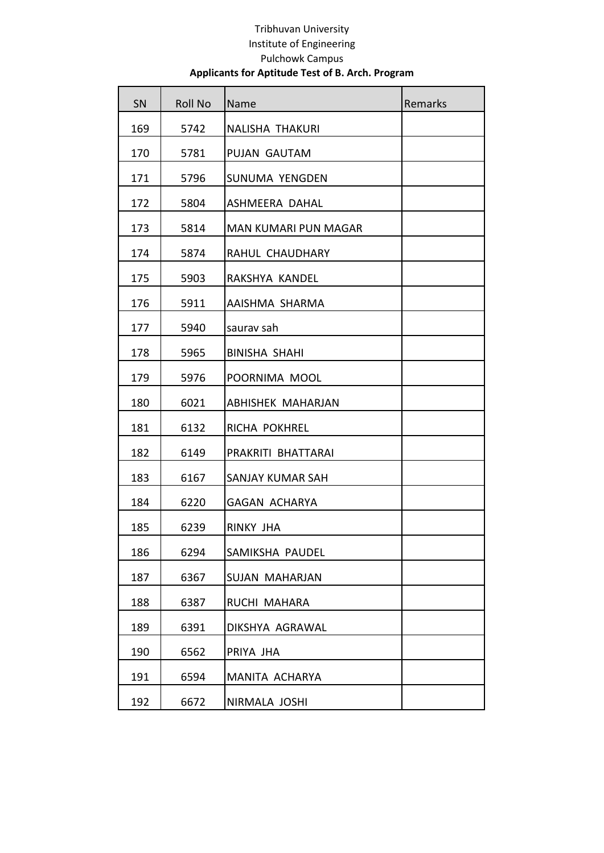| SN  | <b>Roll No</b> | Name                     | Remarks |
|-----|----------------|--------------------------|---------|
| 169 | 5742           | <b>NALISHA THAKURI</b>   |         |
| 170 | 5781           | <b>PUJAN GAUTAM</b>      |         |
| 171 | 5796           | <b>SUNUMA YENGDEN</b>    |         |
| 172 | 5804           | ASHMEERA DAHAL           |         |
| 173 | 5814           | MAN KUMARI PUN MAGAR     |         |
| 174 | 5874           | RAHUL CHAUDHARY          |         |
| 175 | 5903           | RAKSHYA KANDEL           |         |
| 176 | 5911           | AAISHMA SHARMA           |         |
| 177 | 5940           | saurav sah               |         |
| 178 | 5965           | <b>BINISHA SHAHI</b>     |         |
| 179 | 5976           | POORNIMA MOOL            |         |
| 180 | 6021           | <b>ABHISHEK MAHARJAN</b> |         |
| 181 | 6132           | RICHA POKHREL            |         |
| 182 | 6149           | PRAKRITI BHATTARAI       |         |
| 183 | 6167           | SANJAY KUMAR SAH         |         |
| 184 | 6220           | <b>GAGAN ACHARYA</b>     |         |
| 185 | 6239           | RINKY JHA                |         |
| 186 | 6294           | SAMIKSHA PAUDEL          |         |
| 187 | 6367           | <b>SUJAN MAHARJAN</b>    |         |
| 188 | 6387           | RUCHI MAHARA             |         |
| 189 | 6391           | DIKSHYA AGRAWAL          |         |
| 190 | 6562           | PRIYA JHA                |         |
| 191 | 6594           | MANITA ACHARYA           |         |
| 192 | 6672           | NIRMALA JOSHI            |         |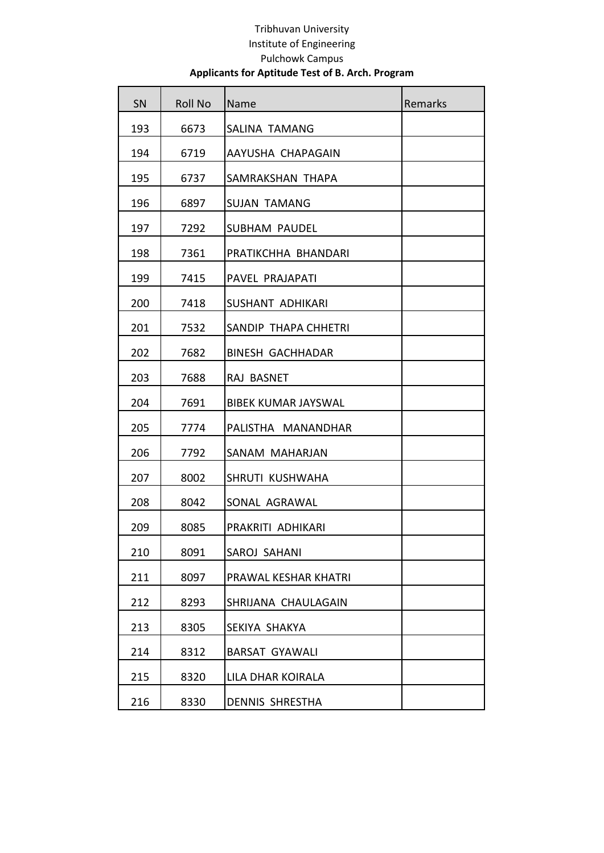| SN  | <b>Roll No</b> | Name                       | Remarks |
|-----|----------------|----------------------------|---------|
| 193 | 6673           | <b>SALINA TAMANG</b>       |         |
| 194 | 6719           | AAYUSHA CHAPAGAIN          |         |
| 195 | 6737           | SAMRAKSHAN THAPA           |         |
| 196 | 6897           | <b>SUJAN TAMANG</b>        |         |
| 197 | 7292           | SUBHAM PAUDEL              |         |
| 198 | 7361           | PRATIKCHHA BHANDARI        |         |
| 199 | 7415           | PAVEL PRAJAPATI            |         |
| 200 | 7418           | <b>SUSHANT ADHIKARI</b>    |         |
| 201 | 7532           | SANDIP THAPA CHHETRI       |         |
| 202 | 7682           | <b>BINESH GACHHADAR</b>    |         |
| 203 | 7688           | RAJ BASNET                 |         |
| 204 | 7691           | <b>BIBEK KUMAR JAYSWAL</b> |         |
| 205 | 7774           | PALISTHA MANANDHAR         |         |
| 206 | 7792           | SANAM MAHARJAN             |         |
| 207 | 8002           | SHRUTI KUSHWAHA            |         |
| 208 | 8042           | SONAL AGRAWAL              |         |
| 209 | 8085           | PRAKRITI ADHIKARI          |         |
| 210 | 8091           | SAROJ SAHANI               |         |
| 211 | 8097           | PRAWAL KESHAR KHATRI       |         |
| 212 | 8293           | SHRIJANA CHAULAGAIN        |         |
| 213 | 8305           | SEKIYA SHAKYA              |         |
| 214 | 8312           | <b>BARSAT GYAWALI</b>      |         |
| 215 | 8320           | LILA DHAR KOIRALA          |         |
| 216 | 8330           | <b>DENNIS SHRESTHA</b>     |         |